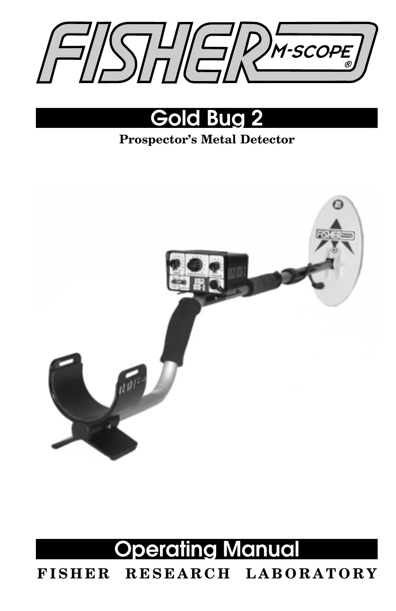



### **Prospector's Metal Detector**



### **Operating Manual FISHER RESEARCH LABORATORY**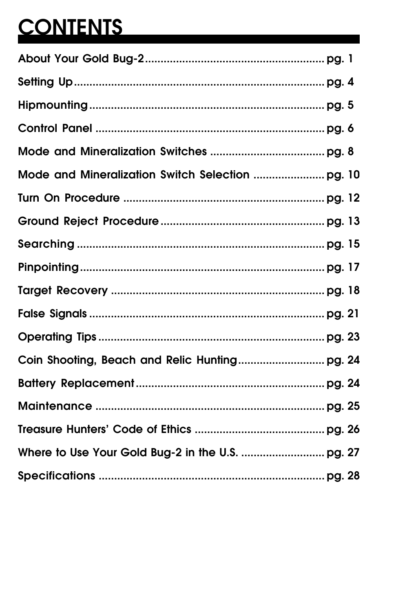## **CONTENTS**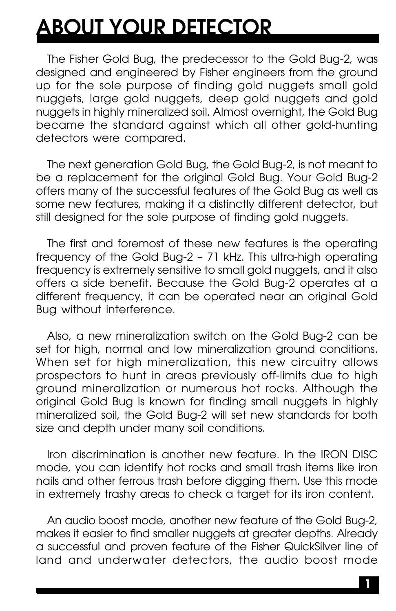## **ABOUT YOUR DETECTOR**

The Fisher Gold Bug, the predecessor to the Gold Bug-2, was designed and engineered by Fisher engineers from the ground up for the sole purpose of finding gold nuggets small gold nuggets, large gold nuggets, deep gold nuggets and gold nuggets in highly mineralized soil. Almost overnight, the Gold Bug became the standard against which all other gold-hunting detectors were compared.

The next generation Gold Bug, the Gold Bug-2, is not meant to be a replacement for the original Gold Bug. Your Gold Bug-2 offers many of the successful features of the Gold Bug as well as some new features, making it a distinctly different detector, but still designed for the sole purpose of finding gold nuggets.

The first and foremost of these new features is the operating frequency of the Gold Bug-2 – 71 kHz. This ultra-high operating frequency is extremely sensitive to small gold nuggets, and it also offers a side benefit. Because the Gold Bug-2 operates at a different frequency, it can be operated near an original Gold Bug without interference.

Also, a new mineralization switch on the Gold Bug-2 can be set for high, normal and low mineralization ground conditions. When set for high mineralization, this new circuitry allows prospectors to hunt in areas previously off-limits due to high ground mineralization or numerous hot rocks. Although the original Gold Bug is known for finding small nuggets in highly mineralized soil, the Gold Bug-2 will set new standards for both size and depth under many soil conditions.

Iron discrimination is another new feature. In the IRON DISC mode, you can identify hot rocks and small trash items like iron nails and other ferrous trash before digging them. Use this mode in extremely trashy areas to check a target for its iron content.

An audio boost mode, another new feature of the Gold Bug-2, makes it easier to find smaller nuggets at greater depths. Already a successful and proven feature of the Fisher QuickSilver line of land and underwater detectors, the audio boost mode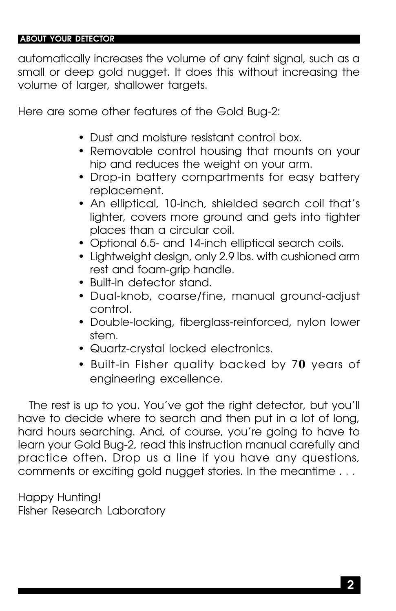#### **ABOUT YOUR DETECTOR**

automatically increases the volume of any faint signal, such as a small or deep gold nugget. It does this without increasing the volume of larger, shallower targets.

Here are some other features of the Gold Bug-2:

- Dust and moisture resistant control box.
- Removable control housing that mounts on your hip and reduces the weight on your arm.
- Drop-in battery compartments for easy battery replacement.
- An elliptical, 10-inch, shielded search coil that's lighter, covers more ground and gets into tighter places than a circular coil.
- Optional 6.5- and 14-inch elliptical search coils.
- Lightweight design, only 2.9 lbs. with cushioned arm rest and foam-grip handle.
- Built-in detector stand.
- Dual-knob, coarse/fine, manual ground-adjust control.
- Double-locking, fiberglass-reinforced, nylon lower stem.
- Quartz-crystal locked electronics.
- Built-in Fisher quality backed by 7**0** years of engineering excellence.

The rest is up to you. You've got the right detector, but you'll have to decide where to search and then put in a lot of long, hard hours searching. And, of course, you're going to have to learn your Gold Bug-2, read this instruction manual carefully and practice often. Drop us a line if you have any questions, comments or exciting gold nugget stories. In the meantime . . .

Happy Hunting! Fisher Research Laboratory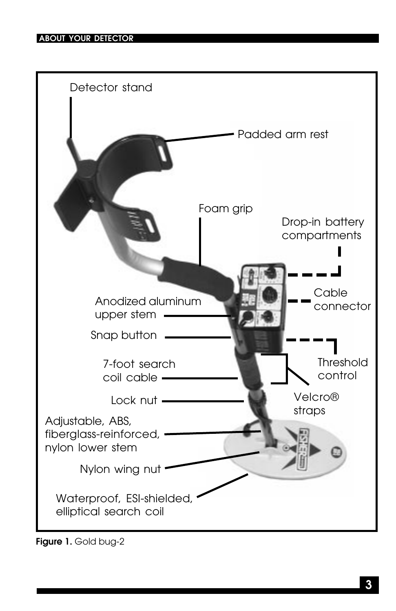

**Figure 1.** Gold bug-2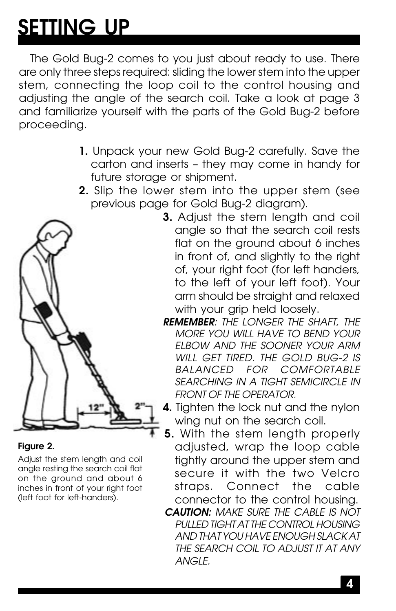## **SETTING UP**

The Gold Bug-2 comes to you just about ready to use. There are only three steps required: sliding the lower stem into the upper stem, connecting the loop coil to the control housing and adjusting the angle of the search coil. Take a look at page 3 and familiarize yourself with the parts of the Gold Bug-2 before proceeding.

- **1.** Unpack your new Gold Bug-2 carefully. Save the carton and inserts – they may come in handy for future storage or shipment.
- **2.** Slip the lower stem into the upper stem (see previous page for Gold Bug-2 diagram).



#### **Figure 2.**

Adjust the stem length and coil angle resting the search coil flat on the ground and about 6 inches in front of your right foot (left foot for left-handers).

- **3.** Adjust the stem length and coil angle so that the search coil rests flat on the ground about 6 inches in front of, and slightly to the right of, your right foot (for left handers, to the left of your left foot). Your arm should be straight and relaxed with your grip held loosely.
- **REMEMBER**: THE LONGER THE SHAFT, THE MORE YOU WILL HAVE TO BEND YOUR ELBOW AND THE SOONER YOUR ARM WILL GET TIRED. THE GOLD BUG-2 IS BALANCED FOR COMFORTABLE SEARCHING IN A TIGHT SEMICIRCLE IN FRONT OF THE OPERATOR.
- **4.** Tighten the lock nut and the nylon wing nut on the search coil.
- **5.** With the stem length properly adjusted, wrap the loop cable tightly around the upper stem and secure it with the two Velcro straps. Connect the cable connector to the control housing.
- **CAUTION:** MAKE SURE THE CABLE IS NOT PULLED TIGHT AT THE CONTROL HOUSING AND THAT YOU HAVE ENOUGH SLACK AT THE SEARCH COIL TO ADJUST IT AT ANY ANGLE.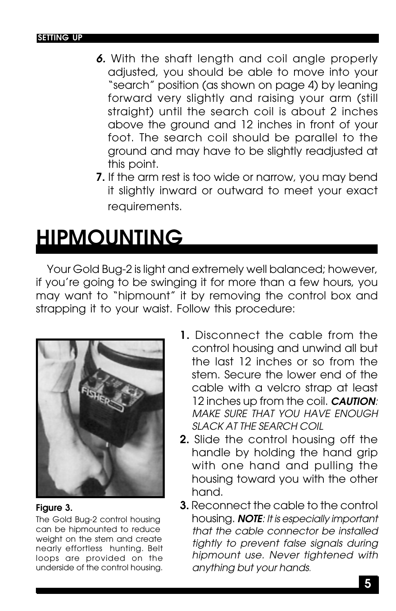- **6.** With the shaft length and coil angle properly adjusted, you should be able to move into your "search" position (as shown on page 4) by leaning forward very slightly and raising your arm (still straight) until the search coil is about 2 inches above the ground and 12 inches in front of your foot. The search coil should be parallel to the ground and may have to be slightly readjusted at this point.
- **7.** If the arm rest is too wide or narrow, you may bend it slightly inward or outward to meet your exact requirements.

## **HIPMOUNTING**

Your Gold Bug-2 is light and extremely well balanced; however, if you're going to be swinging it for more than a few hours, you may want to "hipmount" it by removing the control box and strapping it to your waist. Follow this procedure:



#### **Figure 3.**

The Gold Bug-2 control housing can be hipmounted to reduce weight on the stem and create nearly effortless hunting. Belt loops are provided on the underside of the control housing.

- **1.** Disconnect the cable from the control housing and unwind all but the last 12 inches or so from the stem. Secure the lower end of the cable with a velcro strap at least 12 inches up from the coil. **CAUTION**: MAKE SURE THAT YOU HAVE ENOUGH SLACK AT THE SEARCH COIL
- **2.** Slide the control housing off the handle by holding the hand grip with one hand and pulling the housing toward you with the other hand.
- **3.** Reconnect the cable to the control housing. **NOTE**: It is especially important that the cable connector be installed tightly to prevent false signals during hipmount use. Never tightened with anything but your hands.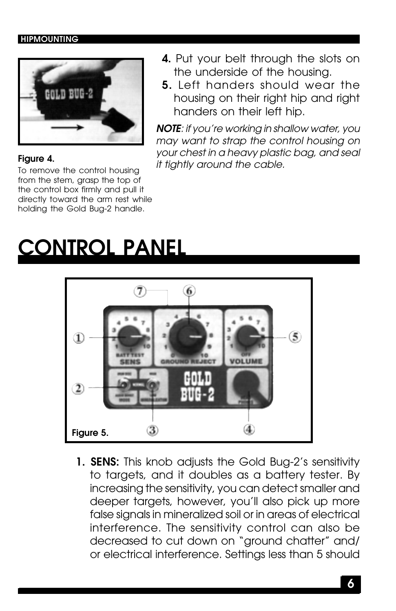#### **HIPMOUNTING**



#### **Figure 4.**

To remove the control housing from the stem, grasp the top of the control box firmly and pull it directly toward the arm rest while holding the Gold Bug-2 handle.

- **4.** Put your belt through the slots on the underside of the housing.
- **5.** Left handers should wear the housing on their right hip and right handers on their left hip.

**NOTE**: if you're working in shallow water, you may want to strap the control housing on your chest in a heavy plastic bag, and seal it tightly around the cable.

## **CONTROL PANEL**



**1. SENS:** This knob adjusts the Gold Bug-2's sensitivity to targets, and it doubles as a battery tester. By increasing the sensitivity, you can detect smaller and deeper targets, however, you'll also pick up more false signals in mineralized soil or in areas of electrical interference. The sensitivity control can also be decreased to cut down on "ground chatter" and/ or electrical interference. Settings less than 5 should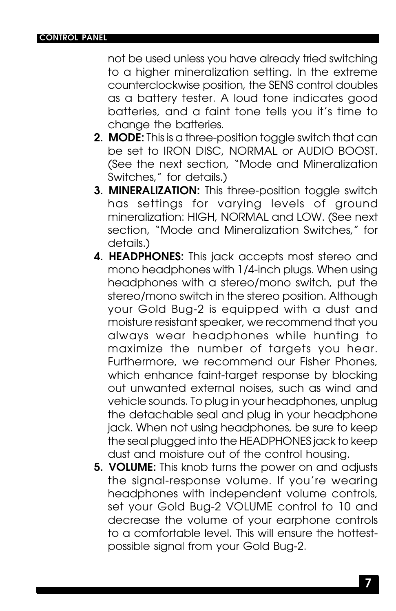not be used unless you have already tried switching to a higher mineralization setting. In the extreme counterclockwise position, the SENS control doubles as a battery tester. A loud tone indicates good batteries, and a faint tone tells you it's time to change the batteries.

- **2. MODE:** This is a three-position toggle switch that can be set to IRON DISC, NORMAL or AUDIO BOOST. (See the next section, "Mode and Mineralization Switches," for details.)
- **3. MINERALIZATION:** This three-position toggle switch has settings for varying levels of ground mineralization: HIGH, NORMAL and LOW. (See next section, "Mode and Mineralization Switches," for details.)
- **4. HEADPHONES:** This jack accepts most stereo and mono headphones with 1/4-inch plugs. When using headphones with a stereo/mono switch, put the stereo/mono switch in the stereo position. Although your Gold Bug-2 is equipped with a dust and moisture resistant speaker, we recommend that you always wear headphones while hunting to maximize the number of targets you hear. Furthermore, we recommend our Fisher Phones, which enhance faint-target response by blocking out unwanted external noises, such as wind and vehicle sounds. To plug in your headphones, unplug the detachable seal and plug in your headphone jack. When not using headphones, be sure to keep the seal plugged into the HEADPHONES jack to keep dust and moisture out of the control housing.
- **5. VOLUME:** This knob turns the power on and adjusts the signal-response volume. If you're wearing headphones with independent volume controls, set your Gold Bug-2 VOLUME control to 10 and decrease the volume of your earphone controls to a comfortable level. This will ensure the hottestpossible signal from your Gold Bug-2.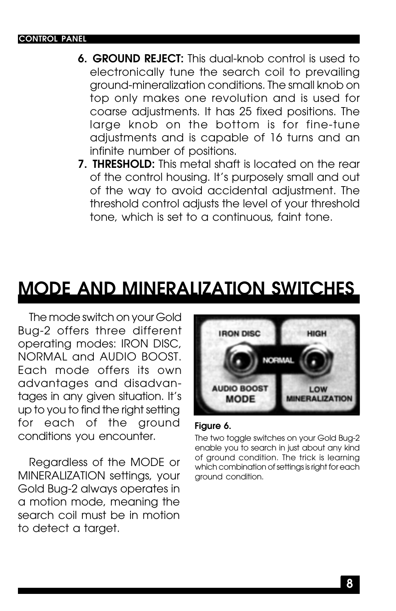#### **CONTROL PANEL**

- **6. GROUND REJECT:** This dual-knob control is used to electronically tune the search coil to prevailing ground-mineralization conditions. The small knob on top only makes one revolution and is used for coarse adjustments. It has 25 fixed positions. The large knob on the bottom is for fine-tune adjustments and is capable of 16 turns and an infinite number of positions.
- **7. THRESHOLD:** This metal shaft is located on the rear of the control housing. It's purposely small and out of the way to avoid accidental adjustment. The threshold control adjusts the level of your threshold tone, which is set to a continuous, faint tone.

### **MODE AND MINERALIZATION SWITCHES**

The mode switch on your Gold Bug-2 offers three different operating modes: IRON DISC, NORMAL and AUDIO BOOST. Each mode offers its own advantages and disadvantages in any given situation. It's up to you to find the right setting for each of the ground conditions you encounter.

Regardless of the MODE or MINERALIZATION settings, your Gold Bug-2 always operates in a motion mode, meaning the search coil must be in motion to detect a target.



#### **Figure 6.**

The two toggle switches on your Gold Bug-2 enable you to search in just about any kind of ground condition. The trick is learning which combination of settings is right for each ground condition.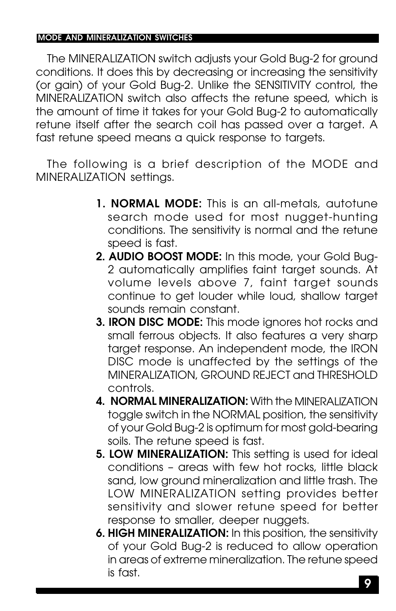The MINERALIZATION switch adjusts your Gold Bug-2 for ground conditions. It does this by decreasing or increasing the sensitivity (or gain) of your Gold Bug-2. Unlike the SENSITIVITY control, the MINERALIZATION switch also affects the retune speed, which is the amount of time it takes for your Gold Bug-2 to automatically retune itself after the search coil has passed over a target. A fast retune speed means a quick response to targets. **MoDEMUREATERITION** Swifter the MINERALIZATION conditions. H conditions that the sensitivity control of the SMS (or game) of your Gold Bug-2. Unlike the SENSITUMY control, the NOME AUTHOM (MINERALIZATION swifth dso offects

The following is a brief description of the MODE and MINERALIZATION settings.

- **1. NORMAL MODE:** This is an all-metals, autotune search mode used for most nugget-hunting conditions. The sensitivity is normal and the retune speed is fast.
- **2. AUDIO BOOST MODE:** In this mode, your Gold Bug-2 automatically amplifies faint target sounds. At volume levels above 7, faint target sounds continue to get louder while loud, shallow target sounds remain constant.
- **3. IRON DISC MODE:** This mode ignores hot rocks and small ferrous objects. It also features a very sharp target response. An independent mode, the IRON DISC mode is unaffected by the settings of the MINERALIZATION, GROUND REJECT and THRESHOLD controls.
- **4. NORMAL MINERALIZATION:** With the MINERALIZATION toggle switch in the NORMAL position, the sensitivity of your Gold Bug-2 is optimum for most gold-bearing soils. The retune speed is fast.
- **5. LOW MINERALIZATION:** This setting is used for ideal conditions – areas with few hot rocks, little black sand, low ground mineralization and little trash. The LOW MINERALIZATION setting provides better sensitivity and slower retune speed for better response to smaller, deeper nuggets.
- **6. HIGH MINERALIZATION:** In this position, the sensitivity of your Gold Bug-2 is reduced to allow operation in areas of extreme mineralization. The retune speed is fast.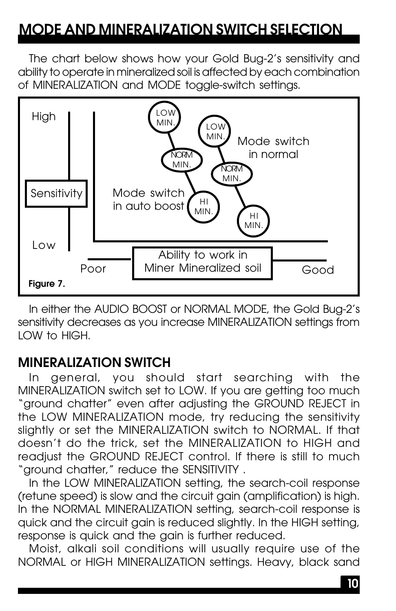### **MODE AND MINERALIZATION SWITCH SELECTION**

The chart below shows how your Gold Bug-2's sensitivity and ability to operate in mineralized soil is affected by each combination of MINERALIZATION and MODE toggle-switch settings.



In either the AUDIO BOOST or NORMAL MODE, the Gold Bug-2's sensitivity decreases as you increase MINERALIZATION settings from LOW to HIGH.

### **MINERALIZATION SWITCH**

In general, you should start searching with the MINERALIZATION switch set to LOW. If you are getting too much "ground chatter" even after adjusting the GROUND REJECT in the LOW MINERALIZATION mode, try reducing the sensitivity slightly or set the MINERALIZATION switch to NORMAL. If that doesn't do the trick, set the MINERALIZATION to HIGH and readjust the GROUND REJECT control. If there is still to much "ground chatter," reduce the SENSITIVITY .

In the LOW MINERALIZATION setting, the search-coil response (retune speed) is slow and the circuit gain (amplification) is high. In the NORMAL MINERALIZATION setting, search-coil response is quick and the circuit gain is reduced slightly. In the HIGH setting, response is quick and the gain is further reduced.

Moist, alkali soil conditions will usually require use of the NORMAL or HIGH MINERALIZATION settings. Heavy, black sand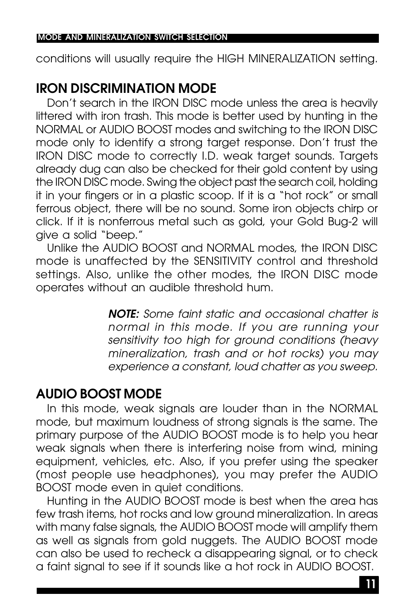conditions will usually require the HIGH MINERALIZATION setting.

### **IRON DISCRIMINATION MODE**

Don't search in the IRON DISC mode unless the area is heavily littered with iron trash. This mode is better used by hunting in the NORMAL or AUDIO BOOST modes and switching to the IRON DISC mode only to identify a strong target response. Don't trust the IRON DISC mode to correctly I.D. weak target sounds. Targets already dug can also be checked for their gold content by using the IRON DISC mode. Swing the object past the search coil, holding it in your fingers or in a plastic scoop. If it is a "hot rock" or small ferrous object, there will be no sound. Some iron objects chirp or click. If it is nonferrous metal such as gold, your Gold Bug-2 will give a solid "beep."

Unlike the AUDIO BOOST and NORMAL modes, the IRON DISC mode is unaffected by the SENSITIVITY control and threshold settings. Also, unlike the other modes, the IRON DISC mode operates without an audible threshold hum.

> **NOTE:** Some faint static and occasional chatter is normal in this mode. If you are running your sensitivity too high for ground conditions (heavy mineralization, trash and or hot rocks) you may experience a constant, loud chatter as you sweep.

### **AUDIO BOOST MODE**

In this mode, weak signals are louder than in the NORMAL mode, but maximum loudness of strong signals is the same. The primary purpose of the AUDIO BOOST mode is to help you hear weak signals when there is interfering noise from wind, mining equipment, vehicles, etc. Also, if you prefer using the speaker (most people use headphones), you may prefer the AUDIO BOOST mode even in quiet conditions.

Hunting in the AUDIO BOOST mode is best when the area has few trash items, hot rocks and low ground mineralization. In areas with many false signals, the AUDIO BOOST mode will amplify them as well as signals from gold nuggets. The AUDIO BOOST mode can also be used to recheck a disappearing signal, or to check a faint signal to see if it sounds like a hot rock in AUDIO BOOST.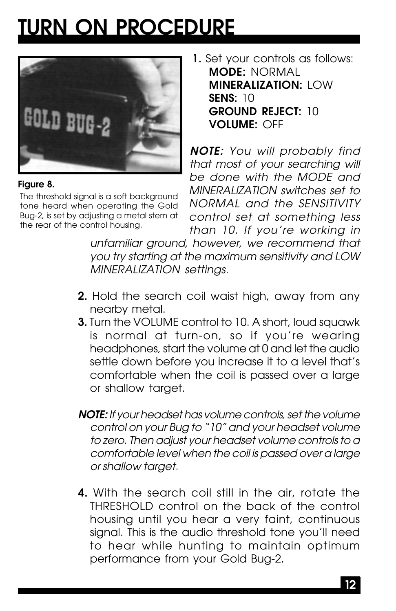## **TURN ON PROCEDURE**



#### **Figure 8.**

The threshold signal is a soft background tone heard when operating the Gold Bug-2, is set by adjusting a metal stem at the rear of the control housing.

**1.** Set your controls as follows: **MODE:** NORMAL **MINERALIZATION: I OW SENS:** 10 **GROUND REJECT:** 10 **VOLUME:** OFF

**NOTE:** You will probably find that most of your searching will be done with the MODE and MINERALIZATION switches set to NORMAL and the SENSITIVITY control set at something less than 10. If you're working in

unfamiliar ground, however, we recommend that you try starting at the maximum sensitivity and LOW MINERALIZATION settings.

- **2.** Hold the search coil waist high, away from any nearby metal.
- **3.** Turn the VOLUME control to 10. A short, loud squawk is normal at turn-on, so if you're wearing headphones, start the volume at 0 and let the audio settle down before you increase it to a level that's comfortable when the coil is passed over a large or shallow target.
- **NOTE:** If your headset has volume controls, set the volume control on your Bug to "10" and your headset volume to zero. Then adjust your headset volume controls to a comfortable level when the coil is passed over a large or shallow target.
- **4.** With the search coil still in the air, rotate the THRESHOLD control on the back of the control housing until you hear a very faint, continuous signal. This is the audio threshold tone you'll need to hear while hunting to maintain optimum performance from your Gold Bug-2.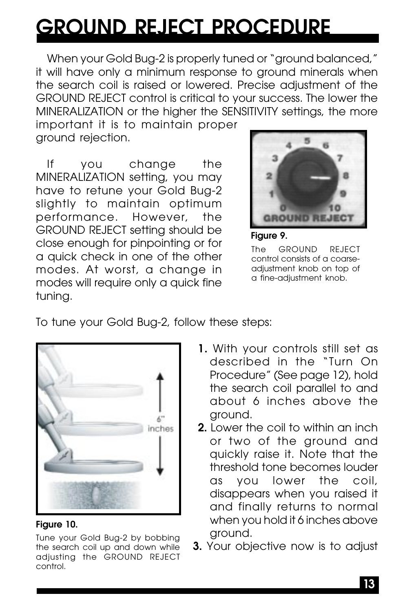## **GROUND REJECT PROCEDURE**

When your Gold Bug-2 is properly tuned or "ground balanced," it will have only a minimum response to ground minerals when the search coil is raised or lowered. Precise adjustment of the GROUND REJECT control is critical to your success. The lower the MINERALIZATION or the higher the SENSITIVITY settings, the more

important it is to maintain proper ground rejection.

If you change the MINERALIZATION setting, you may have to retune your Gold Bug-2 slightly to maintain optimum performance. However, the GROUND REJECT setting should be close enough for pinpointing or for a quick check in one of the other modes. At worst, a change in modes will require only a quick fine tuning.



**Figure 9.**

The GROUND REJECT control consists of a coarseadjustment knob on top of a fine-adjustment knob.

To tune your Gold Bug-2, follow these steps:



#### **Figure 10.**

Tune your Gold Bug-2 by bobbing **3.** Your Gold Bug-2 by bobbing **S**<br>The search coil up and down while **3.** Your objective now is to adjust the search coil up and down while adjusting the GROUND REJECT control.

- **1.** With your controls still set as described in the "Turn On Procedure" (See page 12), hold the search coil parallel to and about 6 inches above the ground.
- **2.** Lower the coil to within an inch or two of the ground and quickly raise it. Note that the threshold tone becomes louder as you lower the coil, disappears when you raised it and finally returns to normal when you hold it 6 inches above ground.
-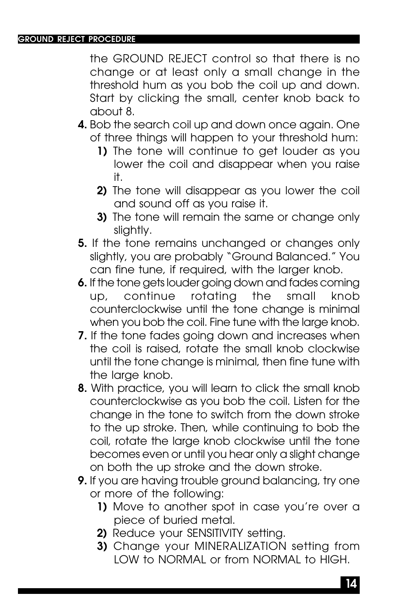the GROUND REJECT control so that there is no change or at least only a small change in the threshold hum as you bob the coil up and down. Start by clicking the small, center knob back to about 8.

- **4.** Bob the search coil up and down once again. One of three things will happen to your threshold hum:
	- **1)** The tone will continue to get louder as you lower the coil and disappear when you raise it.
	- **2)** The tone will disappear as you lower the coil and sound off as you raise it.
	- **3)** The tone will remain the same or change only slightly.
- **5.** If the tone remains unchanged or changes only slightly, you are probably "Ground Balanced." You can fine tune, if required, with the larger knob.
- **6.** If the tone gets louder going down and fades coming up, continue rotating the small knob counterclockwise until the tone change is minimal when you bob the coil. Fine tune with the large knob.
- **7.** If the tone fades going down and increases when the coil is raised, rotate the small knob clockwise until the tone change is minimal, then fine tune with the large knob.
- **8.** With practice, you will learn to click the small knob counterclockwise as you bob the coil. Listen for the change in the tone to switch from the down stroke to the up stroke. Then, while continuing to bob the coil, rotate the large knob clockwise until the tone becomes even or until you hear only a slight change on both the up stroke and the down stroke.
- **9.** If you are having trouble ground balancing, try one or more of the following:
	- **1)** Move to another spot in case you're over a piece of buried metal.
	- **2)** Reduce your SENSITIVITY setting.
	- **3)** Change your MINERALIZATION setting from LOW to NORMAL or from NORMAL to HIGH.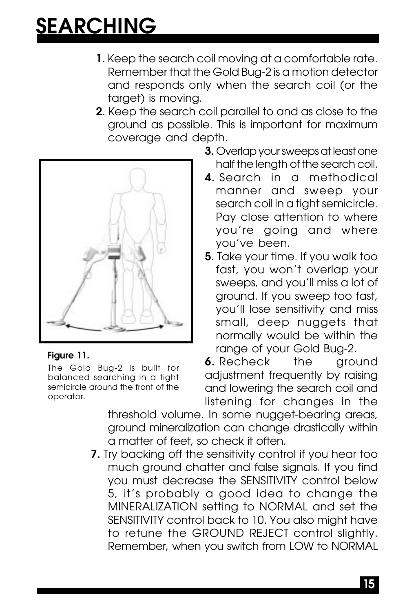## **SEARCHING**

- **1.** Keep the search coil moving at a comfortable rate. Remember that the Gold Bug-2 is a motion detector and responds only when the search coil (or the target) is moving.
- **2.** Keep the search coil parallel to and as close to the ground as possible. This is important for maximum coverage and depth.



#### **Figure 11.**

The Gold Bug-2 is built for balanced searching in a tight semicircle around the front of the operator.

- **3.** Overlap your sweeps at least one half the length of the search coil.
- **4..**Search in a methodical manner and sweep your search coil in a tight semicircle. Pay close attention to where you're going and where you've been.
- **5.** Take your time. If you walk too fast, you won't overlap your sweeps, and you'll miss a lot of ground. If you sweep too fast, you'll lose sensitivity and miss small, deep nuggets that normally would be within the range of your Gold Bug-2.

**6.** Recheck the ground adjustment frequently by raising and lowering the search coil and listening for changes in the

threshold volume. In some nugget-bearing areas, ground mineralization can change drastically within a matter of feet, so check it often.

**7.** Try backing off the sensitivity control if you hear too much ground chatter and false signals. If you find you must decrease the SENSITIVITY control below 5, it's probably a good idea to change the MINERALIZATION setting to NORMAL and set the SENSITIVITY control back to 10. You also might have to retune the GROUND REJECT control slightly. Remember, when you switch from LOW to NORMAL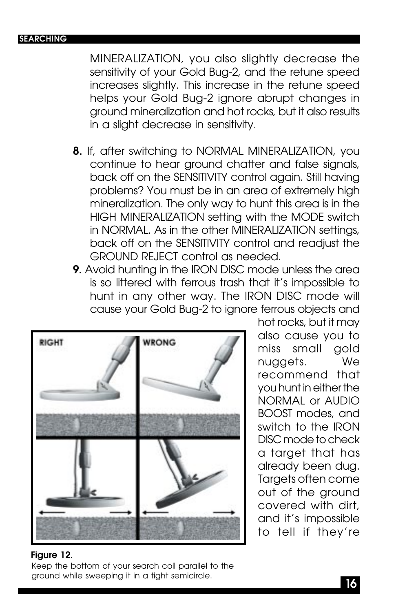#### **SEARCHING**

MINERALIZATION, you also slightly decrease the sensitivity of your Gold Bug-2, and the retune speed increases slightly. This increase in the retune speed helps your Gold Bug-2 ignore abrupt changes in ground mineralization and hot rocks, but it also results in a slight decrease in sensitivity.

- **8.** If, after switching to NORMAL MINERALIZATION, you continue to hear ground chatter and false signals, back off on the SENSITIVITY control again. Still having problems? You must be in an area of extremely high mineralization. The only way to hunt this area is in the HIGH MINERALIZATION setting with the MODE switch in NORMAL. As in the other MINERALIZATION settings, back off on the SENSITIVITY control and readjust the GROUND REJECT control as needed.
- **9.** Avoid hunting in the IRON DISC mode unless the area is so littered with ferrous trash that it's impossible to hunt in any other way. The IRON DISC mode will cause your Gold Bug-2 to ignore ferrous objects and



hot rocks, but it may also cause you to miss small gold nuggets. We recommend that you hunt in either the NORMAL or AUDIO BOOST modes, and switch to the IRON DISC mode to check a target that has already been dug. Targets often come out of the ground covered with dirt, and it's impossible to tell if they're

#### **Figure 12.**

Keep the bottom of your search coil parallel to the ground while sweeping it in a tight semicircle.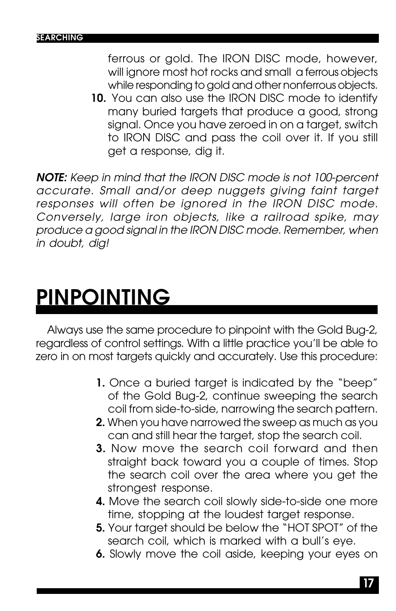ferrous or gold. The IRON DISC mode, however, will ignore most hot rocks and small a ferrous objects while responding to gold and other nonferrous objects.

**10.** You can also use the IRON DISC mode to identify many buried targets that produce a good, strong signal. Once you have zeroed in on a target, switch to IRON DISC and pass the coil over it. If you still get a response, dig it.

**NOTE:** Keep in mind that the IRON DISC mode is not 100-percent accurate. Small and/or deep nuggets giving faint target responses will often be ignored in the IRON DISC mode. Conversely, large iron objects, like a railroad spike, may produce a good signal in the IRON DISC mode. Remember, when in doubt, dig!

## **PINPOINTING**

Always use the same procedure to pinpoint with the Gold Bug-2, regardless of control settings. With a little practice you'll be able to zero in on most targets quickly and accurately. Use this procedure:

- **1.** Once a buried target is indicated by the "beep" of the Gold Bug-2, continue sweeping the search coil from side-to-side, narrowing the search pattern.
- **2.** When you have narrowed the sweep as much as you can and still hear the target, stop the search coil.
- **3.** Now move the search coil forward and then straight back toward you a couple of times. Stop the search coil over the area where you get the strongest response.
- **4.** Move the search coil slowly side-to-side one more time, stopping at the loudest target response.
- **5.** Your target should be below the "HOT SPOT" of the search coil, which is marked with a bull's eye.
- **6.** Slowly move the coil aside, keeping your eyes on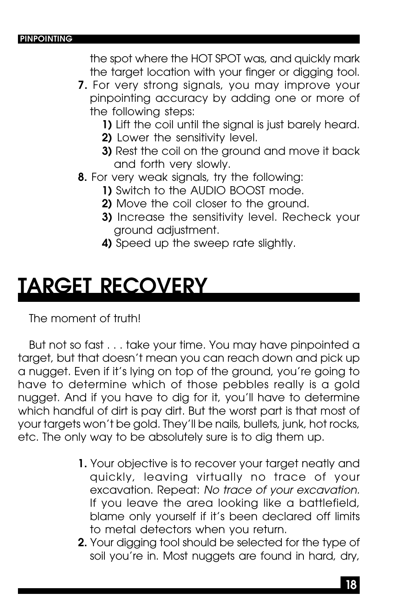#### **PINPOINTING**

the spot where the HOT SPOT was, and quickly mark the target location with your finger or digging tool.

- **7.** For very strong signals, you may improve your pinpointing accuracy by adding one or more of the following steps:
	- **1)** Lift the coil until the signal is just barely heard.
	- **2)** Lower the sensitivity level.
	- **3)** Rest the coil on the ground and move it back and forth very slowly.
- **8.** For very weak signals, try the following:
	- **1)** Switch to the AUDIO BOOST mode.
	- **2)** Move the coil closer to the ground.
	- **3)** Increase the sensitivity level. Recheck your ground adjustment.
	- **4)** Speed up the sweep rate slightly.

### **TARGET RECOVERY**

The moment of truth!

But not so fast . . . take your time. You may have pinpointed a target, but that doesn't mean you can reach down and pick up a nugget. Even if it's lying on top of the ground, you're going to have to determine which of those pebbles really is a gold nugget. And if you have to dig for it, you'll have to determine which handful of dirt is pay dirt. But the worst part is that most of your targets won't be gold. They'll be nails, bullets, junk, hot rocks, etc. The only way to be absolutely sure is to dig them up.

- **1.** Your objective is to recover your target neatly and quickly, leaving virtually no trace of your excavation. Repeat: No trace of your excavation. If you leave the area looking like a battlefield, blame only yourself if it's been declared off limits to metal detectors when you return.
- **2.** Your digging tool should be selected for the type of soil you're in. Most nuggets are found in hard, dry,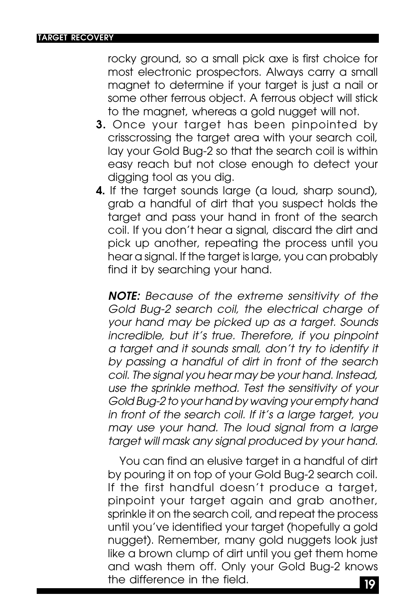rocky ground, so a small pick axe is first choice for most electronic prospectors. Always carry a small magnet to determine if your target is just a nail or some other ferrous object. A ferrous object will stick to the magnet, whereas a gold nugget will not.

- **3.** Once your target has been pinpointed by crisscrossing the target area with your search coil, lay your Gold Bug-2 so that the search coil is within easy reach but not close enough to detect your digging tool as you dig.
- **4.** If the target sounds large (a loud, sharp sound), grab a handful of dirt that you suspect holds the target and pass your hand in front of the search coil. If you don't hear a signal, discard the dirt and pick up another, repeating the process until you hear a signal. If the target is large, you can probably find it by searching your hand.

**NOTE:** Because of the extreme sensitivity of the Gold Bug-2 search coil, the electrical charge of your hand may be picked up as a target. Sounds incredible, but it's true. Therefore, if you pinpoint a target and it sounds small, don't try to identify it by passing a handful of dirt in front of the search coil. The signal you hear may be your hand. Instead, use the sprinkle method. Test the sensitivity of your Gold Bug-2 to your hand by waving your empty hand in front of the search coil. If it's a large target, you may use your hand. The loud signal from a large target will mask any signal produced by your hand.

**19** You can find an elusive target in a handful of dirt by pouring it on top of your Gold Bug-2 search coil. If the first handful doesn't produce a target, pinpoint your target again and grab another, sprinkle it on the search coil, and repeat the process until you've identified your target (hopefully a gold nugget). Remember, many gold nuggets look just like a brown clump of dirt until you get them home and wash them off. Only your Gold Bug-2 knows the difference in the field.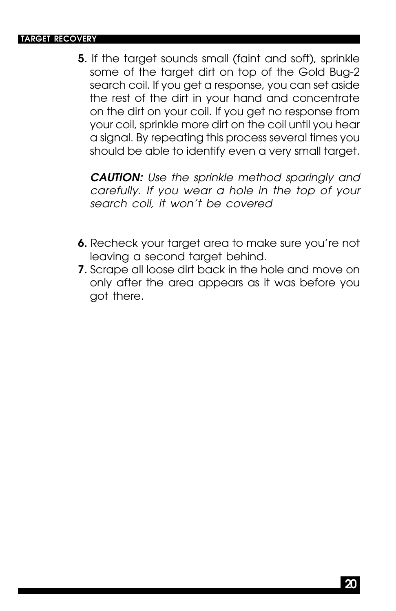#### **TARGET RECOVERY**

**5.** If the target sounds small (faint and soft), sprinkle some of the target dirt on top of the Gold Bug-2 search coil. If you get a response, you can set aside the rest of the dirt in your hand and concentrate on the dirt on your coil. If you get no response from your coil, sprinkle more dirt on the coil until you hear a signal. By repeating this process several times you should be able to identify even a very small target.

**CAUTION:** Use the sprinkle method sparingly and carefully. If you wear a hole in the top of your search coil, it won't be covered

- **6.** Recheck your target area to make sure you're not leaving a second target behind.
- **7.** Scrape all loose dirt back in the hole and move on only after the area appears as it was before you got there.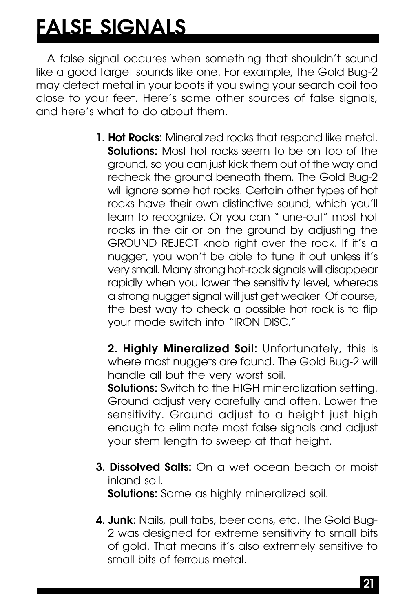## **FALSE SIGNALS**

A false signal occures when something that shouldn't sound like a good target sounds like one. For example, the Gold Bug-2 may detect metal in your boots if you swing your search coil too close to your feet. Here's some other sources of false signals, and here's what to do about them.

> **1. Hot Rocks:** Mineralized rocks that respond like metal. **Solutions:** Most hot rocks seem to be on top of the ground, so you can just kick them out of the way and recheck the ground beneath them. The Gold Bug-2 will ignore some hot rocks. Certain other types of hot rocks have their own distinctive sound, which you'll learn to recognize. Or you can "tune-out" most hot rocks in the air or on the ground by adjusting the GROUND REJECT knob right over the rock. If it's a nugget, you won't be able to tune it out unless it's very small. Many strong hot-rock signals will disappear rapidly when you lower the sensitivity level, whereas a strong nugget signal will just get weaker. Of course, the best way to check a possible hot rock is to flip your mode switch into "IRON DISC."

**2. Highly Mineralized Soil:** Unfortunately, this is where most nuggets are found. The Gold Bug-2 will handle all but the very worst soil.

**Solutions:** Switch to the HIGH mineralization setting. Ground adjust very carefully and often. Lower the sensitivity. Ground adjust to a height just high enough to eliminate most false signals and adjust your stem length to sweep at that height.

- **3. Dissolved Salts:** On a wet ocean beach or moist inland soil. **Solutions:** Same as highly mineralized soil.
- **4. Junk:** Nails, pull tabs, beer cans, etc. The Gold Bug-2 was designed for extreme sensitivity to small bits of gold. That means it's also extremely sensitive to small bits of ferrous metal.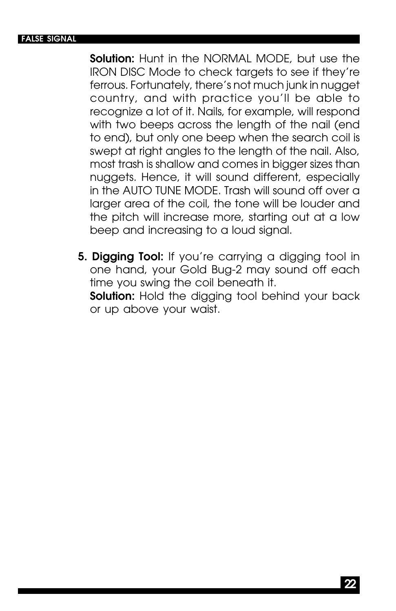#### **FALSE SIGNAL**

**Solution:** Hunt in the NORMAL MODE, but use the IRON DISC Mode to check targets to see if they're ferrous. Fortunately, there's not much junk in nugget country, and with practice you'll be able to recognize a lot of it. Nails, for example, will respond with two beeps across the length of the nail (end to end), but only one beep when the search coil is swept at right angles to the length of the nail. Also, most trash is shallow and comes in bigger sizes than nuggets. Hence, it will sound different, especially in the AUTO TUNE MODE. Trash will sound off over a larger area of the coil, the tone will be louder and the pitch will increase more, starting out at a low beep and increasing to a loud signal.

**5. Digging Tool:** If you're carrying a digging tool in one hand, your Gold Bug-2 may sound off each time you swing the coil beneath it. **Solution:** Hold the digging tool behind your back or up above your waist.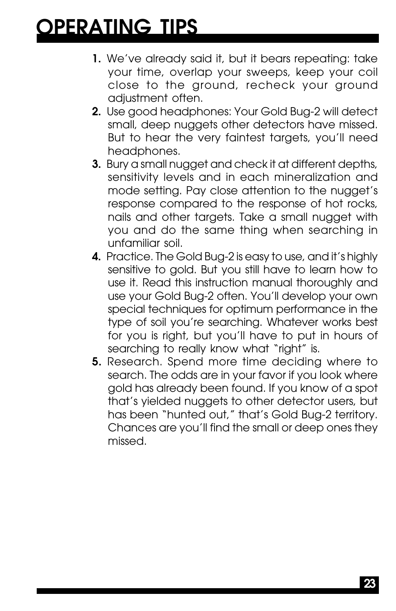## **OPERATING TIPS**

- **1.** We've already said it, but it bears repeating: take your time, overlap your sweeps, keep your coil close to the ground, recheck your ground adjustment often.
- **2.** Use good headphones: Your Gold Bug-2 will detect small, deep nuggets other detectors have missed. But to hear the very faintest targets, you'll need headphones.
- **3.** Bury a small nugget and check it at different depths, sensitivity levels and in each mineralization and mode setting. Pay close attention to the nugget's response compared to the response of hot rocks, nails and other targets. Take a small nugget with you and do the same thing when searching in unfamiliar soil.
- **4.** Practice. The Gold Bug-2 is easy to use, and it's highly sensitive to gold. But you still have to learn how to use it. Read this instruction manual thoroughly and use your Gold Bug-2 often. You'll develop your own special techniques for optimum performance in the type of soil you're searching. Whatever works best for you is right, but you'll have to put in hours of searching to really know what "right" is.
- **5.** Research. Spend more time deciding where to search. The odds are in your favor if you look where gold has already been found. If you know of a spot that's yielded nuggets to other detector users, but has been "hunted out," that's Gold Bug-2 territory. Chances are you'll find the small or deep ones they missed.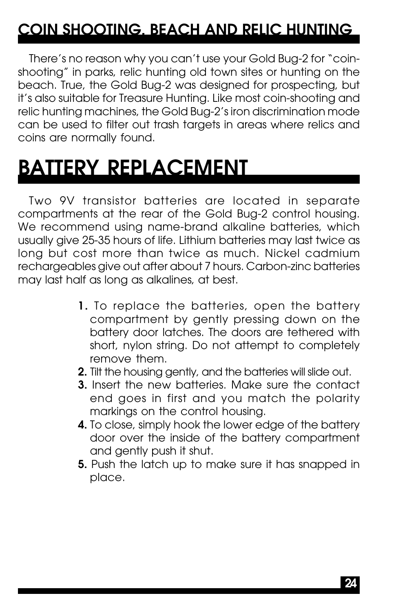### **COIN SHOOTING, BEACH AND RELIC HUNTING**

There's no reason why you can't use your Gold Bug-2 for "coinshooting" in parks, relic hunting old town sites or hunting on the beach. True, the Gold Bug-2 was designed for prospecting, but it's also suitable for Treasure Hunting. Like most coin-shooting and relic hunting machines, the Gold Bug-2's iron discrimination mode can be used to filter out trash targets in areas where relics and coins are normally found.

## **BATTERY REPLACEMENT**

Two 9V transistor batteries are located in separate compartments at the rear of the Gold Bug-2 control housing. We recommend using name-brand alkaline batteries, which usually give 25-35 hours of life. Lithium batteries may last twice as long but cost more than twice as much. Nickel cadmium rechargeables give out after about 7 hours. Carbon-zinc batteries may last half as long as alkalines, at best.

- **1.** To replace the batteries, open the battery compartment by gently pressing down on the battery door latches. The doors are tethered with short, nylon string. Do not attempt to completely remove them.
- **2.** Tilt the housing gently, and the batteries will slide out.
- **3.** Insert the new batteries. Make sure the contact end goes in first and you match the polarity markings on the control housing.
- **4.** To close, simply hook the lower edge of the battery door over the inside of the battery compartment and gently push it shut.
- **5.** Push the latch up to make sure it has snapped in place.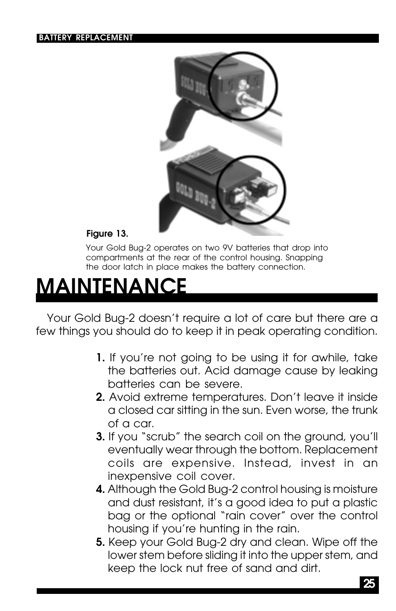

#### **Figure 13.**

Your Gold Bug-2 operates on two 9V batteries that drop into compartments at the rear of the control housing. Snapping the door latch in place makes the battery connection.

### **MAINTENANCE**

Your Gold Bug-2 doesn't require a lot of care but there are a few things you should do to keep it in peak operating condition.

- **1.** If you're not going to be using it for awhile, take the batteries out. Acid damage cause by leaking batteries can be severe.
- **2.** Avoid extreme temperatures. Don't leave it inside a closed car sitting in the sun. Even worse, the trunk of a car.
- **3.** If you "scrub" the search coil on the ground, you'll eventually wear through the bottom. Replacement coils are expensive. Instead, invest in an inexpensive coil cover.
- **4.** Although the Gold Bug-2 control housing is moisture and dust resistant, it's a good idea to put a plastic bag or the optional "rain cover" over the control housing if you're hunting in the rain.
- **5.** Keep your Gold Bug-2 dry and clean. Wipe off the lower stem before sliding it into the upper stem, and keep the lock nut free of sand and dirt.

**25**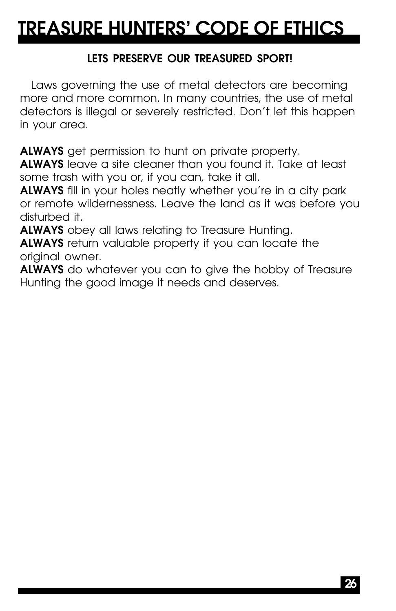### **TREASURE HUNTERS' CODE OF ETHICS**

### **LETS PRESERVE OUR TREASURED SPORT!**

Laws governing the use of metal detectors are becoming more and more common. In many countries, the use of metal detectors is illegal or severely restricted. Don't let this happen in your area.

**ALWAYS** get permission to hunt on private property.

**ALWAYS** leave a site cleaner than you found it. Take at least some trash with you or, if you can, take it all.

**ALWAYS** fill in your holes neatly whether you're in a city park or remote wildernessness. Leave the land as it was before you disturbed it.

**ALWAYS** obey all laws relating to Treasure Hunting.

**ALWAYS** return valuable property if you can locate the original owner.

**ALWAYS** do whatever you can to give the hobby of Treasure Hunting the good image it needs and deserves.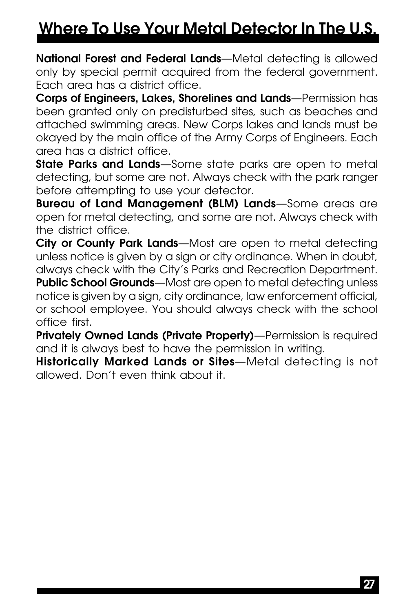### **Where To Use Your Metal Detector In The U.S.**

**National Forest and Federal Lands**—Metal detecting is allowed only by special permit acquired from the federal government. Each area has a district office.

**Corps of Engineers, Lakes, Shorelines and Lands**—Permission has been granted only on predisturbed sites, such as beaches and attached swimming areas. New Corps lakes and lands must be okayed by the main office of the Army Corps of Engineers. Each area has a district office.

**State Parks and Lands**—Some state parks are open to metal detecting, but some are not. Always check with the park ranger before attempting to use your detector.

**Bureau of Land Management (BLM) Lands**—Some areas are open for metal detecting, and some are not. Always check with the district office.

**City or County Park Lands**—Most are open to metal detecting unless notice is given by a sign or city ordinance. When in doubt, always check with the City's Parks and Recreation Department. **Public School Grounds**—Most are open to metal detecting unless notice is given by a sign, city ordinance, law enforcement official, or school employee. You should always check with the school office first.

**Privately Owned Lands (Private Property)**—Permission is required and it is always best to have the permission in writing.

**Historically Marked Lands or Sites**—Metal detecting is not allowed. Don't even think about it.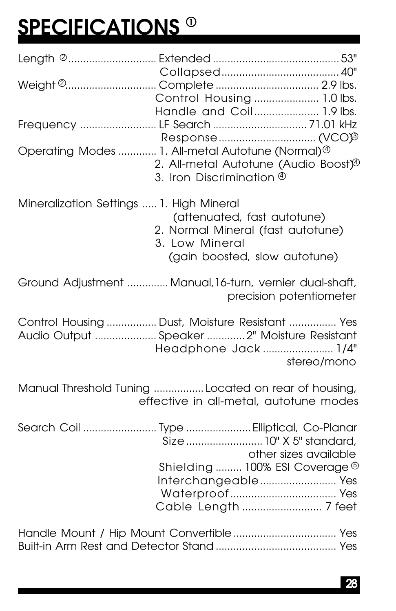# **SPECIFICATIONS <sup>0</sup>**

|                                          | Control Housing  1.0 lbs.<br>Handle and Coil 1.9 lbs.                                                                                                  |
|------------------------------------------|--------------------------------------------------------------------------------------------------------------------------------------------------------|
|                                          |                                                                                                                                                        |
|                                          | 2. All-metal Autotune (Audio Boost) <sup>®</sup><br>3. Iron Discrimination $\Phi$                                                                      |
| Mineralization Settings  1. High Mineral | (attenuated, fast autotune)<br>2. Normal Mineral (fast autotune)<br>3. Low Mineral<br>(gain boosted, slow autotune)                                    |
|                                          | Ground Adjustment  Manual, 16-turn, vernier dual-shaft,<br>precision potentiometer                                                                     |
|                                          | Control Housing  Dust, Moisture Resistant  Yes<br>Audio Output  Speaker  2" Moisture Resistant                                                         |
|                                          | Headphone Jack 1/4"<br>stereo/mono                                                                                                                     |
|                                          | Manual Threshold Tuning  Located on rear of housing,<br>effective in all-metal, autotune modes                                                         |
|                                          | Search Coil  Type  Elliptical, Co-Planar<br>Size  10" X 5" standard,<br>other sizes available<br>Shielding  100% ESI Coverage ®<br>Interchangeable Yes |
|                                          |                                                                                                                                                        |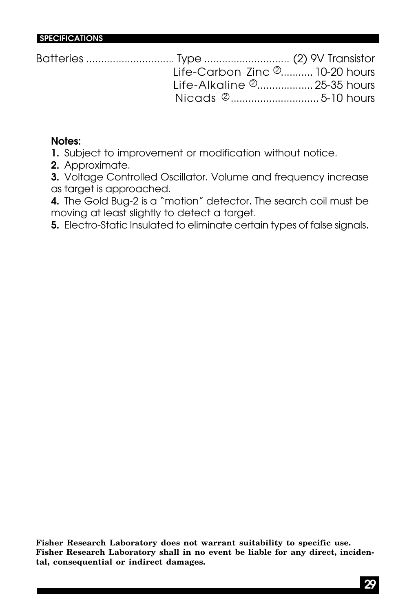| Life-Carbon Zinc 2 10-20 hours |  |
|--------------------------------|--|
| Life-Alkaline 2 25-35 hours    |  |
|                                |  |

#### **Notes:**

**SPECIFICATIONS**

**1.** Subject to improvement or modification without notice.

**2.** Approximate.

**3.** Voltage Controlled Oscillator. Volume and frequency increase as target is approached.

**4.** The Gold Bug-2 is a "motion" detector. The search coil must be moving at least slightly to detect a target.

**5.** Electro-Static Insulated to eliminate certain types of false signals.

**Fisher Research Laboratory does not warrant suitability to specific use. Fisher Research Laboratory shall in no event be liable for any direct, incidental, consequential or indirect damages.**